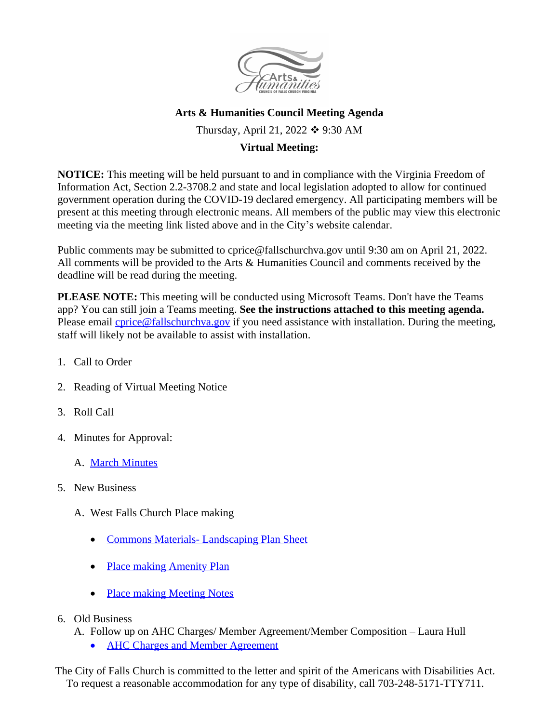

## **Arts & Humanities Council Meeting Agenda**

Thursday, April 21, 2022  $\div$  9:30 AM

## **Virtual Meeting:**

**NOTICE:** This meeting will be held pursuant to and in compliance with the Virginia Freedom of Information Act, Section 2.2-3708.2 and state and local legislation adopted to allow for continued government operation during the COVID-19 declared emergency. All participating members will be present at this meeting through electronic means. All members of the public may view this electronic meeting via the meeting link listed above and in the City's website calendar.

Public comments may be submitted to cprice@fallschurchva.gov until 9:30 am on April 21, 2022. All comments will be provided to the Arts & Humanities Council and comments received by the deadline will be read during the meeting.

**PLEASE NOTE:** This meeting will be conducted using Microsoft Teams. Don't have the Teams app? You can still join a Teams meeting. **See the instructions attached to this meeting agenda.**  Please email [cprice@fallschurchva.gov](mailto:cprice@fallschurchva.gov) if you need assistance with installation. During the meeting, staff will likely not be available to assist with installation.

- 1. Call to Order
- 2. Reading of Virtual Meeting Notice
- 3. Roll Call
- 4. Minutes for Approval:
	- A. [March Minutes](https://www.fallschurchva.gov/AgendaCenter/ViewFile/Minutes/_03172022-2024)
- 5. [New Business](https://www.fallschurchva.gov/AgendaCenter/ViewFile/Minutes/_03172022-2024)
	- A. [West Falls Church Place making](https://www.fallschurchva.gov/AgendaCenter/ViewFile/Minutes/_03172022-2024)
		- [Commons Materials- Landscaping Plan Sheet](https://www.fallschurchva.gov/DocumentCenter/View/16125/Commons-Materials-Landscaping-Plan-Sheets)
		- [Place making Amenity Plan](https://www.fallschurchva.gov/DocumentCenter/View/16126/WFC_SESP_SUB_03_PlacemakingAmenityPlan)
		- [Place making Meeting Notes](https://www.fallschurchva.gov/DocumentCenter/View/16127/20191003-Placemaking-Meeting-Notes)
- 6. [Old Business](https://www.fallschurchva.gov/DocumentCenter/View/16127/20191003-Placemaking-Meeting-Notes)
	- A. [Follow up on AHC Charges/ Member Agreement/Member Composition](https://www.fallschurchva.gov/DocumentCenter/View/16127/20191003-Placemaking-Meeting-Notes) – [Laura Hull](https://www.fallschurchva.gov/DocumentCenter/View/16127/20191003-Placemaking-Meeting-Notes)
		- [AHC Charges and Member Agreement](https://www.fallschurchva.gov/DocumentCenter/View/16124/Draft-Mission-Statement-and-Goals_April-2022)

The City of Falls Church is committed to the letter and spirit of the Americans with Disabilities Act. To request a reasonable accommodation for any type of disability, call 703-248-5171-TTY711.